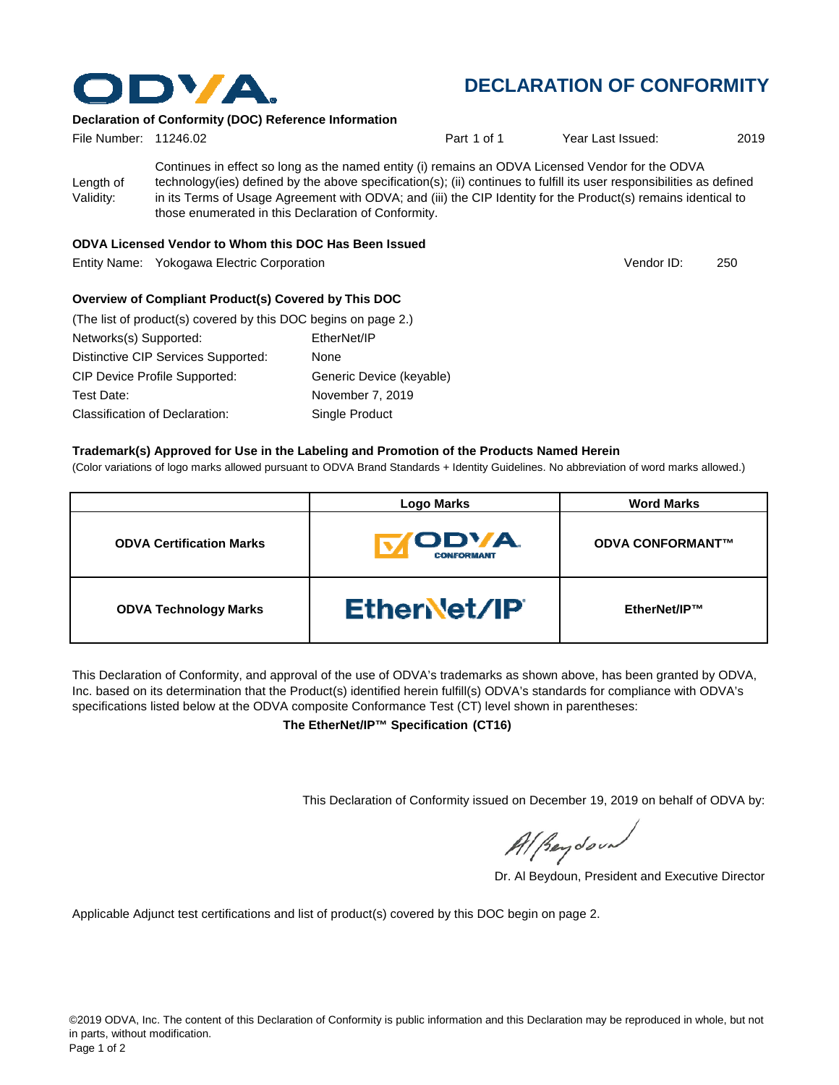

## **DECLARATION OF CONFORMITY**

#### **Declaration of Conformity (DOC) Reference Information**

| File Number: 11246.02  |                                                                                                                                                                                                                                                                                                                                                                                                   | Part 1 of 1 | Year Last Issued: | 2019 |
|------------------------|---------------------------------------------------------------------------------------------------------------------------------------------------------------------------------------------------------------------------------------------------------------------------------------------------------------------------------------------------------------------------------------------------|-------------|-------------------|------|
| Length of<br>Validity: | Continues in effect so long as the named entity (i) remains an ODVA Licensed Vendor for the ODVA<br>technology(ies) defined by the above specification(s); (ii) continues to fulfill its user responsibilities as defined<br>in its Terms of Usage Agreement with ODVA; and (iii) the CIP Identity for the Product(s) remains identical to<br>those enumerated in this Declaration of Conformity. |             |                   |      |

#### **ODVA Licensed Vendor to Whom this DOC Has Been Issued**

Entity Name: Yokogawa Electric Corporation 250

Vendor ID:

## **Overview of Compliant Product(s) Covered by This DOC**

| (The list of product(s) covered by this DOC begins on page 2.) |                          |
|----------------------------------------------------------------|--------------------------|
| Networks(s) Supported:                                         | EtherNet/IP              |
| Distinctive CIP Services Supported:                            | None                     |
| <b>CIP Device Profile Supported:</b>                           | Generic Device (keyable) |
| Test Date:                                                     | November 7, 2019         |
| Classification of Declaration:                                 | Single Product           |

#### **Trademark(s) Approved for Use in the Labeling and Promotion of the Products Named Herein**

(Color variations of logo marks allowed pursuant to ODVA Brand Standards + Identity Guidelines. No abbreviation of word marks allowed.)

|                                 | <b>Logo Marks</b>                         | <b>Word Marks</b>       |
|---------------------------------|-------------------------------------------|-------------------------|
| <b>ODVA Certification Marks</b> | <b>IODVA.</b><br>IV.<br><b>CONFORMANT</b> | <b>ODVA CONFORMANT™</b> |
| <b>ODVA Technology Marks</b>    | <b>Ethervet/IP</b>                        | EtherNet/IP™            |

This Declaration of Conformity, and approval of the use of ODVA's trademarks as shown above, has been granted by ODVA, Inc. based on its determination that the Product(s) identified herein fulfill(s) ODVA's standards for compliance with ODVA's specifications listed below at the ODVA composite Conformance Test (CT) level shown in parentheses:

**The EtherNet/IP™ Specification (CT16)**

This Declaration of Conformity issued on December 19, 2019 on behalf of ODVA by:

Al Reydoor

Dr. Al Beydoun, President and Executive Director

Applicable Adjunct test certifications and list of product(s) covered by this DOC begin on page 2.